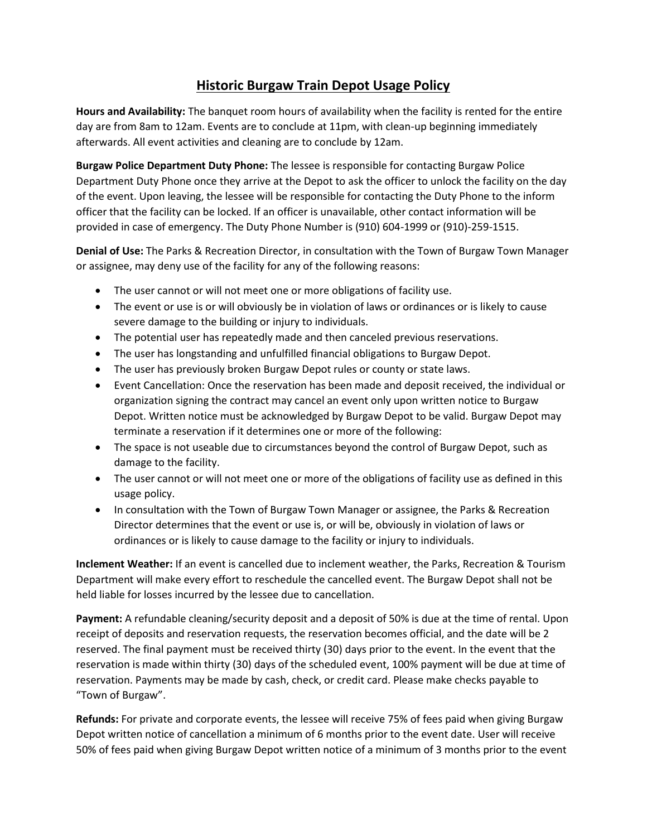## **Historic Burgaw Train Depot Usage Policy**

**Hours and Availability:** The banquet room hours of availability when the facility is rented for the entire day are from 8am to 12am. Events are to conclude at 11pm, with clean-up beginning immediately afterwards. All event activities and cleaning are to conclude by 12am.

**Burgaw Police Department Duty Phone:** The lessee is responsible for contacting Burgaw Police Department Duty Phone once they arrive at the Depot to ask the officer to unlock the facility on the day of the event. Upon leaving, the lessee will be responsible for contacting the Duty Phone to the inform officer that the facility can be locked. If an officer is unavailable, other contact information will be provided in case of emergency. The Duty Phone Number is (910) 604-1999 or (910)-259-1515.

**Denial of Use:** The Parks & Recreation Director, in consultation with the Town of Burgaw Town Manager or assignee, may deny use of the facility for any of the following reasons:

- The user cannot or will not meet one or more obligations of facility use.
- The event or use is or will obviously be in violation of laws or ordinances or is likely to cause severe damage to the building or injury to individuals.
- The potential user has repeatedly made and then canceled previous reservations.
- The user has longstanding and unfulfilled financial obligations to Burgaw Depot.
- The user has previously broken Burgaw Depot rules or county or state laws.
- Event Cancellation: Once the reservation has been made and deposit received, the individual or organization signing the contract may cancel an event only upon written notice to Burgaw Depot. Written notice must be acknowledged by Burgaw Depot to be valid. Burgaw Depot may terminate a reservation if it determines one or more of the following:
- The space is not useable due to circumstances beyond the control of Burgaw Depot, such as damage to the facility.
- The user cannot or will not meet one or more of the obligations of facility use as defined in this usage policy.
- In consultation with the Town of Burgaw Town Manager or assignee, the Parks & Recreation Director determines that the event or use is, or will be, obviously in violation of laws or ordinances or is likely to cause damage to the facility or injury to individuals.

**Inclement Weather:** If an event is cancelled due to inclement weather, the Parks, Recreation & Tourism Department will make every effort to reschedule the cancelled event. The Burgaw Depot shall not be held liable for losses incurred by the lessee due to cancellation.

**Payment:** A refundable cleaning/security deposit and a deposit of 50% is due at the time of rental. Upon receipt of deposits and reservation requests, the reservation becomes official, and the date will be 2 reserved. The final payment must be received thirty (30) days prior to the event. In the event that the reservation is made within thirty (30) days of the scheduled event, 100% payment will be due at time of reservation. Payments may be made by cash, check, or credit card. Please make checks payable to "Town of Burgaw".

**Refunds:** For private and corporate events, the lessee will receive 75% of fees paid when giving Burgaw Depot written notice of cancellation a minimum of 6 months prior to the event date. User will receive 50% of fees paid when giving Burgaw Depot written notice of a minimum of 3 months prior to the event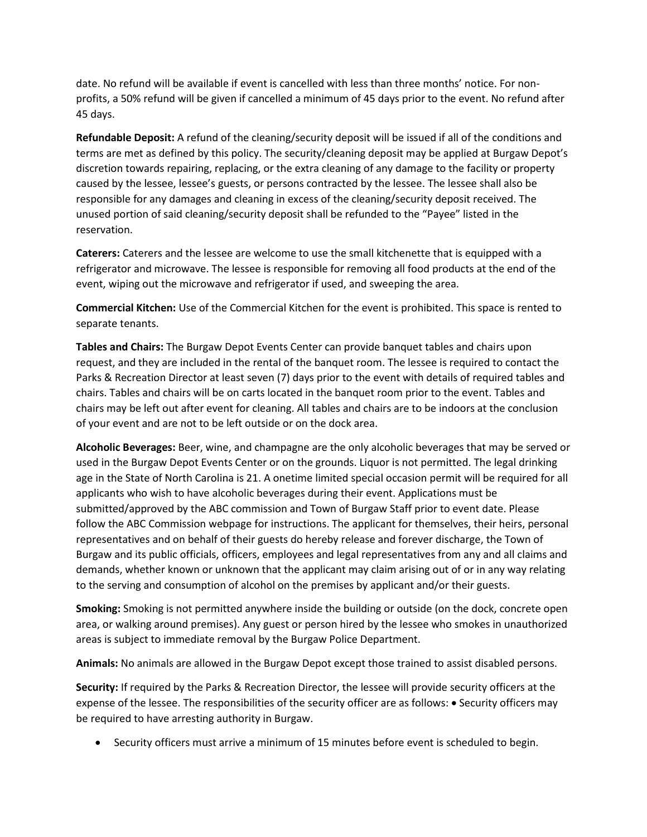date. No refund will be available if event is cancelled with less than three months' notice. For nonprofits, a 50% refund will be given if cancelled a minimum of 45 days prior to the event. No refund after 45 days.

**Refundable Deposit:** A refund of the cleaning/security deposit will be issued if all of the conditions and terms are met as defined by this policy. The security/cleaning deposit may be applied at Burgaw Depot's discretion towards repairing, replacing, or the extra cleaning of any damage to the facility or property caused by the lessee, lessee's guests, or persons contracted by the lessee. The lessee shall also be responsible for any damages and cleaning in excess of the cleaning/security deposit received. The unused portion of said cleaning/security deposit shall be refunded to the "Payee" listed in the reservation.

**Caterers:** Caterers and the lessee are welcome to use the small kitchenette that is equipped with a refrigerator and microwave. The lessee is responsible for removing all food products at the end of the event, wiping out the microwave and refrigerator if used, and sweeping the area.

**Commercial Kitchen:** Use of the Commercial Kitchen for the event is prohibited. This space is rented to separate tenants.

**Tables and Chairs:** The Burgaw Depot Events Center can provide banquet tables and chairs upon request, and they are included in the rental of the banquet room. The lessee is required to contact the Parks & Recreation Director at least seven (7) days prior to the event with details of required tables and chairs. Tables and chairs will be on carts located in the banquet room prior to the event. Tables and chairs may be left out after event for cleaning. All tables and chairs are to be indoors at the conclusion of your event and are not to be left outside or on the dock area.

**Alcoholic Beverages:** Beer, wine, and champagne are the only alcoholic beverages that may be served or used in the Burgaw Depot Events Center or on the grounds. Liquor is not permitted. The legal drinking age in the State of North Carolina is 21. A onetime limited special occasion permit will be required for all applicants who wish to have alcoholic beverages during their event. Applications must be submitted/approved by the ABC commission and Town of Burgaw Staff prior to event date. Please follow the ABC Commission webpage for instructions. The applicant for themselves, their heirs, personal representatives and on behalf of their guests do hereby release and forever discharge, the Town of Burgaw and its public officials, officers, employees and legal representatives from any and all claims and demands, whether known or unknown that the applicant may claim arising out of or in any way relating to the serving and consumption of alcohol on the premises by applicant and/or their guests.

**Smoking:** Smoking is not permitted anywhere inside the building or outside (on the dock, concrete open area, or walking around premises). Any guest or person hired by the lessee who smokes in unauthorized areas is subject to immediate removal by the Burgaw Police Department.

**Animals:** No animals are allowed in the Burgaw Depot except those trained to assist disabled persons.

**Security:** If required by the Parks & Recreation Director, the lessee will provide security officers at the expense of the lessee. The responsibilities of the security officer are as follows: • Security officers may be required to have arresting authority in Burgaw.

• Security officers must arrive a minimum of 15 minutes before event is scheduled to begin.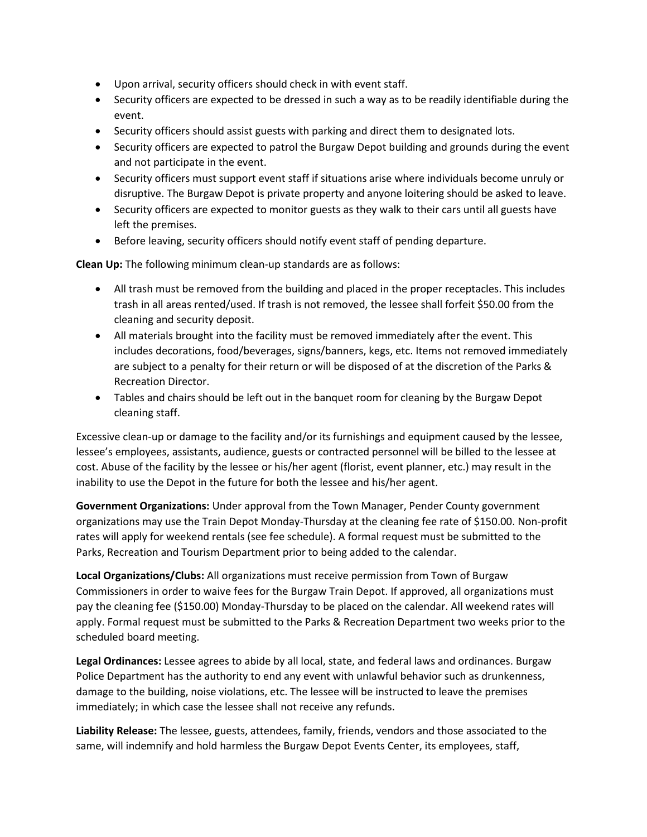- Upon arrival, security officers should check in with event staff.
- Security officers are expected to be dressed in such a way as to be readily identifiable during the event.
- Security officers should assist guests with parking and direct them to designated lots.
- Security officers are expected to patrol the Burgaw Depot building and grounds during the event and not participate in the event.
- Security officers must support event staff if situations arise where individuals become unruly or disruptive. The Burgaw Depot is private property and anyone loitering should be asked to leave.
- Security officers are expected to monitor guests as they walk to their cars until all guests have left the premises.
- Before leaving, security officers should notify event staff of pending departure.

**Clean Up:** The following minimum clean-up standards are as follows:

- All trash must be removed from the building and placed in the proper receptacles. This includes trash in all areas rented/used. If trash is not removed, the lessee shall forfeit \$50.00 from the cleaning and security deposit.
- All materials brought into the facility must be removed immediately after the event. This includes decorations, food/beverages, signs/banners, kegs, etc. Items not removed immediately are subject to a penalty for their return or will be disposed of at the discretion of the Parks & Recreation Director.
- Tables and chairs should be left out in the banquet room for cleaning by the Burgaw Depot cleaning staff.

Excessive clean-up or damage to the facility and/or its furnishings and equipment caused by the lessee, lessee's employees, assistants, audience, guests or contracted personnel will be billed to the lessee at cost. Abuse of the facility by the lessee or his/her agent (florist, event planner, etc.) may result in the inability to use the Depot in the future for both the lessee and his/her agent.

**Government Organizations:** Under approval from the Town Manager, Pender County government organizations may use the Train Depot Monday-Thursday at the cleaning fee rate of \$150.00. Non-profit rates will apply for weekend rentals (see fee schedule). A formal request must be submitted to the Parks, Recreation and Tourism Department prior to being added to the calendar.

**Local Organizations/Clubs:** All organizations must receive permission from Town of Burgaw Commissioners in order to waive fees for the Burgaw Train Depot. If approved, all organizations must pay the cleaning fee (\$150.00) Monday-Thursday to be placed on the calendar. All weekend rates will apply. Formal request must be submitted to the Parks & Recreation Department two weeks prior to the scheduled board meeting.

**Legal Ordinances:** Lessee agrees to abide by all local, state, and federal laws and ordinances. Burgaw Police Department has the authority to end any event with unlawful behavior such as drunkenness, damage to the building, noise violations, etc. The lessee will be instructed to leave the premises immediately; in which case the lessee shall not receive any refunds.

**Liability Release:** The lessee, guests, attendees, family, friends, vendors and those associated to the same, will indemnify and hold harmless the Burgaw Depot Events Center, its employees, staff,